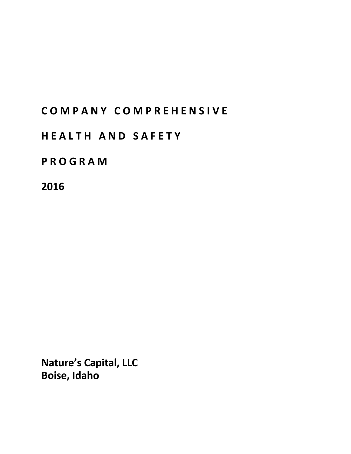# **C O M P A N Y C O M P R E H E N S I V E**

# **H E A L T H A N D S A F E T Y**

**P R O G R A M**

**2016**

**Nature's Capital, LLC Boise, Idaho**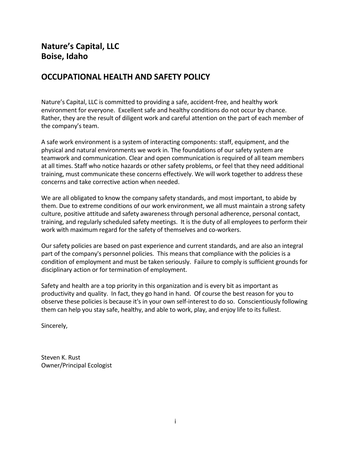## **Nature's Capital, LLC Boise, Idaho**

### <span id="page-1-0"></span>**OCCUPATIONAL HEALTH AND SAFETY POLICY**

Nature's Capital, LLC is committed to providing a safe, accident-free, and healthy work environment for everyone. Excellent safe and healthy conditions do not occur by chance. Rather, they are the result of diligent work and careful attention on the part of each member of the company's team.

A safe work environment is a system of interacting components: staff, equipment, and the physical and natural environments we work in. The foundations of our safety system are teamwork and communication. Clear and open communication is required of all team members at all times. Staff who notice hazards or other safety problems, or feel that they need additional training, must communicate these concerns effectively. We will work together to address these concerns and take corrective action when needed.

We are all obligated to know the company safety standards, and most important, to abide by them. Due to extreme conditions of our work environment, we all must maintain a strong safety culture, positive attitude and safety awareness through personal adherence, personal contact, training, and regularly scheduled safety meetings. It is the duty of all employees to perform their work with maximum regard for the safety of themselves and co-workers.

Our safety policies are based on past experience and current standards, and are also an integral part of the company's personnel policies. This means that compliance with the policies is a condition of employment and must be taken seriously. Failure to comply is sufficient grounds for disciplinary action or for termination of employment.

Safety and health are a top priority in this organization and is every bit as important as productivity and quality. In fact, they go hand in hand. Of course the best reason for you to observe these policies is because it's in your own self-interest to do so. Conscientiously following them can help you stay safe, healthy, and able to work, play, and enjoy life to its fullest.

Sincerely,

Steven K. Rust Owner/Principal Ecologist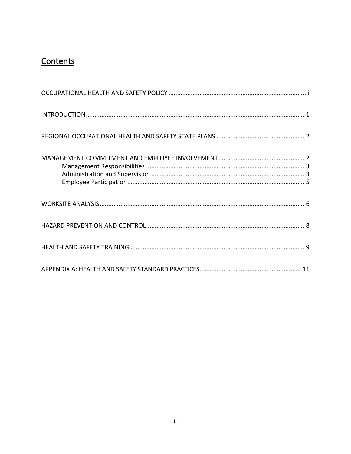## Contents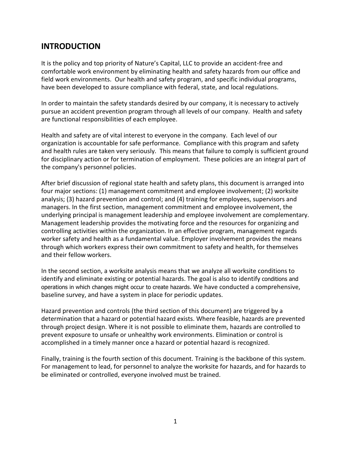## <span id="page-3-0"></span>**INTRODUCTION**

It is the policy and top priority of Nature's Capital, LLC to provide an accident-free and comfortable work environment by eliminating health and safety hazards from our office and field work environments. Our health and safety program, and specific individual programs, have been developed to assure compliance with federal, state, and local regulations.

In order to maintain the safety standards desired by our company, it is necessary to actively pursue an accident prevention program through all levels of our company. Health and safety are functional responsibilities of each employee.

Health and safety are of vital interest to everyone in the company. Each level of our organization is accountable for safe performance. Compliance with this program and safety and health rules are taken very seriously. This means that failure to comply is sufficient ground for disciplinary action or for termination of employment. These policies are an integral part of the company's personnel policies.

After brief discussion of regional state health and safety plans, this document is arranged into four major sections: (1) management commitment and employee involvement; (2) worksite analysis; (3) hazard prevention and control; and (4) training for employees, supervisors and managers. In the first section, management commitment and employee involvement, the underlying principal is management leadership and employee involvement are complementary. Management leadership provides the motivating force and the resources for organizing and controlling activities within the organization. In an effective program, management regards worker safety and health as a fundamental value. Employer involvement provides the means through which workers express their own commitment to safety and health, for themselves and their fellow workers.

In the second section, a worksite analysis means that we analyze all worksite conditions to identify and eliminate existing or potential hazards. The goal is also to identify conditions and operations in which changes might occur to create hazards. We have conducted a comprehensive, baseline survey, and have a system in place for periodic updates.

Hazard prevention and controls (the third section of this document) are triggered by a determination that a hazard or potential hazard exists. Where feasible, hazards are prevented through project design. Where it is not possible to eliminate them, hazards are controlled to prevent exposure to unsafe or unhealthy work environments. Elimination or control is accomplished in a timely manner once a hazard or potential hazard is recognized.

Finally, training is the fourth section of this document. Training is the backbone of this system. For management to lead, for personnel to analyze the worksite for hazards, and for hazards to be eliminated or controlled, everyone involved must be trained.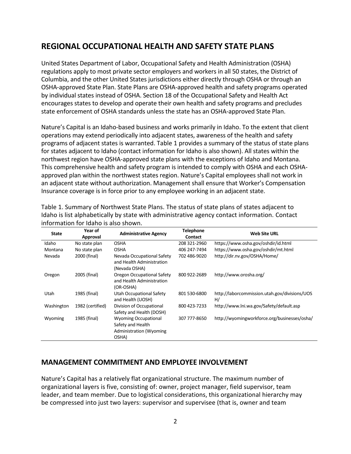## <span id="page-4-0"></span>**REGIONAL OCCUPATIONAL HEALTH AND SAFETY STATE PLANS**

United States Department of Labor, Occupational Safety and Health Administration (OSHA) regulations apply to most private sector employers and workers in all 50 states, the District of Columbia, and the other United States jurisdictions either directly through OSHA or through an OSHA-approved State Plan. State Plans are OSHA-approved health and safety programs operated by individual states instead of OSHA. Section 18 of the Occupational Safety and Health Act encourages states to develop and operate their own health and safety programs and precludes state enforcement of OSHA standards unless the state has an OSHA-approved State Plan.

Nature's Capital is an Idaho-based business and works primarily in Idaho. To the extent that client operations may extend periodically into adjacent states, awareness of the health and safety programs of adjacent states is warranted[. Table 1](#page-4-2) provides a summary of the status of state plans for states adjacent to Idaho (contact information for Idaho is also shown). All states within the northwest region have OSHA-approved state plans with the exceptions of Idaho and Montana. This comprehensive health and safety program is intended to comply with OSHA and each OSHAapproved plan within the northwest states region. Nature's Capital employees shall not work in an adjacent state without authorization. Management shall ensure that Worker's Compensation Insurance coverage is in force prior to any employee working in an adjacent state.

| <b>State</b> | Year of<br>Approval | <b>Administrative Agency</b>                                                                | <b>Telephone</b><br><b>Contact</b> | <b>Web Site URL</b>                                 |
|--------------|---------------------|---------------------------------------------------------------------------------------------|------------------------------------|-----------------------------------------------------|
| Idaho        | No state plan       | <b>OSHA</b>                                                                                 | 208 321-2960                       | https://www.osha.gov/oshdir/id.html                 |
| Montana      | No state plan       | <b>OSHA</b>                                                                                 | 406 247-7494                       | https://www.osha.gov/oshdir/mt.html                 |
| Nevada       | 2000 (final)        | Nevada Occupational Safety<br>and Health Administration<br>(Nevada OSHA)                    | 702 486-9020                       | http://dir.nv.gov/OSHA/Home/                        |
| Oregon       | 2005 (final)        | Oregon Occupational Safety<br>and Health Administration<br>(OR-OSHA)                        | 800 922-2689                       | http://www.orosha.org/                              |
| Utah         | 1985 (final)        | Utah Occupational Safety<br>and Health (UOSH)                                               | 801 530-6800                       | http://laborcommission.utah.gov/divisions/UOS<br>H/ |
| Washington   | 1982 (certified)    | Division of Occupational<br>Safety and Health (DOSH)                                        | 800 423-7233                       | http://www.lni.wa.gov/Safety/default.asp            |
| Wyoming      | 1985 (final)        | <b>Wyoming Occupational</b><br>Safety and Health<br><b>Administration (Wyoming</b><br>OSHA) | 307 777-8650                       | http://wyomingworkforce.org/businesses/osha/        |

<span id="page-4-2"></span>Table 1. Summary of Northwest State Plans. The status of state plans of states adjacent to Idaho is list alphabetically by state with administrative agency contact information. Contact information for Idaho is also shown.

### <span id="page-4-1"></span>**MANAGEMENT COMMITMENT AND EMPLOYEE INVOLVEMENT**

Nature's Capital has a relatively flat organizational structure. The maximum number of organizational layers is five, consisting of: owner, project manager, field supervisor, team leader, and team member. Due to logistical considerations, this organizational hierarchy may be compressed into just two layers: supervisor and supervisee (that is, owner and team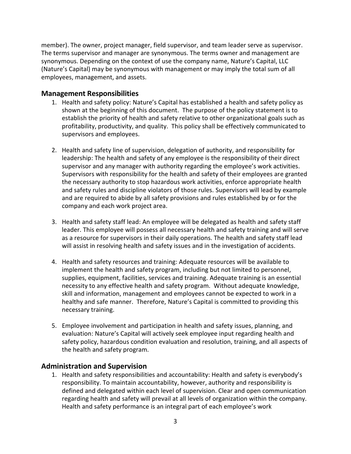member). The owner, project manager, field supervisor, and team leader serve as supervisor. The terms supervisor and manager are synonymous. The terms owner and management are synonymous. Depending on the context of use the company name, Nature's Capital, LLC (Nature's Capital) may be synonymous with management or may imply the total sum of all employees, management, and assets.

#### <span id="page-5-0"></span>**Management Responsibilities**

- 1. Health and safety policy: Nature's Capital has established a health and safety policy as shown at the beginning of this document. The purpose of the policy statement is to establish the priority of health and safety relative to other organizational goals such as profitability, productivity, and quality. This policy shall be effectively communicated to supervisors and employees.
- 2. Health and safety line of supervision, delegation of authority, and responsibility for leadership: The health and safety of any employee is the responsibility of their direct supervisor and any manager with authority regarding the employee's work activities. Supervisors with responsibility for the health and safety of their employees are granted the necessary authority to stop hazardous work activities, enforce appropriate health and safety rules and discipline violators of those rules. Supervisors will lead by example and are required to abide by all safety provisions and rules established by or for the company and each work project area.
- 3. Health and safety staff lead: An employee will be delegated as health and safety staff leader. This employee will possess all necessary health and safety training and will serve as a resource for supervisors in their daily operations. The health and safety staff lead will assist in resolving health and safety issues and in the investigation of accidents.
- 4. Health and safety resources and training: Adequate resources will be available to implement the health and safety program, including but not limited to personnel, supplies, equipment, facilities, services and training. Adequate training is an essential necessity to any effective health and safety program. Without adequate knowledge, skill and information, management and employees cannot be expected to work in a healthy and safe manner. Therefore, Nature's Capital is committed to providing this necessary training.
- 5. Employee involvement and participation in health and safety issues, planning, and evaluation: Nature's Capital will actively seek employee input regarding health and safety policy, hazardous condition evaluation and resolution, training, and all aspects of the health and safety program.

#### <span id="page-5-1"></span>**Administration and Supervision**

1. Health and safety responsibilities and accountability: Health and safety is everybody's responsibility. To maintain accountability, however, authority and responsibility is defined and delegated within each level of supervision. Clear and open communication regarding health and safety will prevail at all levels of organization within the company. Health and safety performance is an integral part of each employee's work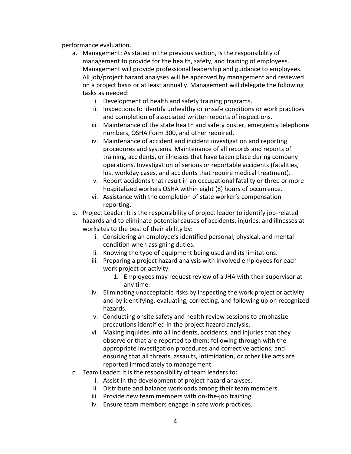performance evaluation.

- a. Management: As stated in the previous section, is the responsibility of management to provide for the health, safety, and training of employees. Management will provide professional leadership and guidance to employees. All job/project hazard analyses will be approved by management and reviewed on a project basis or at least annually. Management will delegate the following tasks as needed:
	- i. Development of health and safety training programs.
	- ii. Inspections to identify unhealthy or unsafe conditions or work practices and completion of associated written reports of inspections.
	- iii. Maintenance of the state health and safety poster, emergency telephone numbers, OSHA Form 300, and other required.
	- iv. Maintenance of accident and incident investigation and reporting procedures and systems. Maintenance of all records and reports of training, accidents, or illnesses that have taken place during company operations. Investigation of serious or reportable accidents (fatalities, lost workday cases, and accidents that require medical treatment).
	- v. Report accidents that result in an occupational fatality or three or more hospitalized workers OSHA within eight (8) hours of occurrence.
	- vi. Assistance with the completion of state worker's compensation reporting.
- b. Project Leader: It is the responsibility of project leader to identify job-related hazards and to eliminate potential causes of accidents, injuries, and illnesses at worksites to the best of their ability by:
	- i. Considering an employee's identified personal, physical, and mental condition when assigning duties.
	- ii. Knowing the type of equipment being used and its limitations.
	- iii. Preparing a project hazard analysis with involved employees for each work project or activity.
		- 1. Employees may request review of a JHA with their supervisor at any time.
	- iv. Eliminating unacceptable risks by inspecting the work project or activity and by identifying, evaluating, correcting, and following up on recognized hazards.
	- v. Conducting onsite safety and health review sessions to emphasize precautions identified in the project hazard analysis.
	- vi. Making inquiries into all incidents, accidents, and injuries that they observe or that are reported to them; following through with the appropriate investigation procedures and corrective actions; and ensuring that all threats, assaults, intimidation, or other like acts are reported immediately to management.
- c. Team Leader: It is the responsibility of team leaders to:
	- i. Assist in the development of project hazard analyses.
	- ii. Distribute and balance workloads among their team members.
	- iii. Provide new team members with on-the-job training.
	- iv. Ensure team members engage in safe work practices.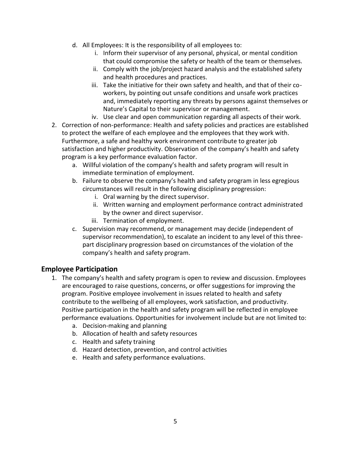- d. All Employees: It is the responsibility of all employees to:
	- i. Inform their supervisor of any personal, physical, or mental condition that could compromise the safety or health of the team or themselves.
	- ii. Comply with the job/project hazard analysis and the established safety and health procedures and practices.
	- iii. Take the initiative for their own safety and health, and that of their coworkers, by pointing out unsafe conditions and unsafe work practices and, immediately reporting any threats by persons against themselves or Nature's Capital to their supervisor or management.
	- iv. Use clear and open communication regarding all aspects of their work.
- 2. Correction of non-performance: Health and safety policies and practices are established to protect the welfare of each employee and the employees that they work with. Furthermore, a safe and healthy work environment contribute to greater job satisfaction and higher productivity. Observation of the company's health and safety program is a key performance evaluation factor.
	- a. Willful violation of the company's health and safety program will result in immediate termination of employment.
	- b. Failure to observe the company's health and safety program in less egregious circumstances will result in the following disciplinary progression:
		- i. Oral warning by the direct supervisor.
		- ii. Written warning and employment performance contract administrated by the owner and direct supervisor.
		- iii. Termination of employment.
	- c. Supervision may recommend, or management may decide (independent of supervisor recommendation), to escalate an incident to any level of this threepart disciplinary progression based on circumstances of the violation of the company's health and safety program.

#### <span id="page-7-0"></span>**Employee Participation**

- 1. The company's health and safety program is open to review and discussion. Employees are encouraged to raise questions, concerns, or offer suggestions for improving the program. Positive employee involvement in issues related to health and safety contribute to the wellbeing of all employees, work satisfaction, and productivity. Positive participation in the health and safety program will be reflected in employee performance evaluations. Opportunities for involvement include but are not limited to:
	- a. Decision-making and planning
	- b. Allocation of health and safety resources
	- c. Health and safety training
	- d. Hazard detection, prevention, and control activities
	- e. Health and safety performance evaluations.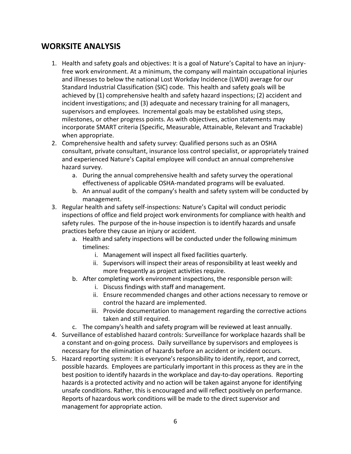## <span id="page-8-0"></span>**WORKSITE ANALYSIS**

- 1. Health and safety goals and objectives: It is a goal of Nature's Capital to have an injuryfree work environment. At a minimum, the company will maintain occupational injuries and illnesses to below the national Lost Workday Incidence (LWDI) average for our Standard Industrial Classification (SIC) code. This health and safety goals will be achieved by (1) comprehensive health and safety hazard inspections; (2) accident and incident investigations; and (3) adequate and necessary training for all managers, supervisors and employees. Incremental goals may be established using steps, milestones, or other progress points. As with objectives, action statements may incorporate SMART criteria (Specific, Measurable, Attainable, Relevant and Trackable) when appropriate.
- 2. Comprehensive health and safety survey: Qualified persons such as an OSHA consultant, private consultant, insurance loss control specialist, or appropriately trained and experienced Nature's Capital employee will conduct an annual comprehensive hazard survey.
	- a. During the annual comprehensive health and safety survey the operational effectiveness of applicable OSHA-mandated programs will be evaluated.
	- b. An annual audit of the company's health and safety system will be conducted by management.
- 3. Regular health and safety self-inspections: Nature's Capital will conduct periodic inspections of office and field project work environments for compliance with health and safety rules. The purpose of the in-house inspection is to identify hazards and unsafe practices before they cause an injury or accident.
	- a. Health and safety inspections will be conducted under the following minimum timelines:
		- i. Management will inspect all fixed facilities quarterly.
		- ii. Supervisors will inspect their areas of responsibility at least weekly and more frequently as project activities require.
	- b. After completing work environment inspections, the responsible person will:
		- i. Discuss findings with staff and management.
		- ii. Ensure recommended changes and other actions necessary to remove or control the hazard are implemented.
		- iii. Provide documentation to management regarding the corrective actions taken and still required.
	- c. The company's health and safety program will be reviewed at least annually.
- 4. Surveillance of established hazard controls: Surveillance for workplace hazards shall be a constant and on-going process. Daily surveillance by supervisors and employees is necessary for the elimination of hazards before an accident or incident occurs.
- 5. Hazard reporting system: It is everyone's responsibility to identify, report, and correct, possible hazards. Employees are particularly important in this process as they are in the best position to identify hazards in the workplace and day-to-day operations. Reporting hazards is a protected activity and no action will be taken against anyone for identifying unsafe conditions. Rather, this is encouraged and will reflect positively on performance. Reports of hazardous work conditions will be made to the direct supervisor and management for appropriate action.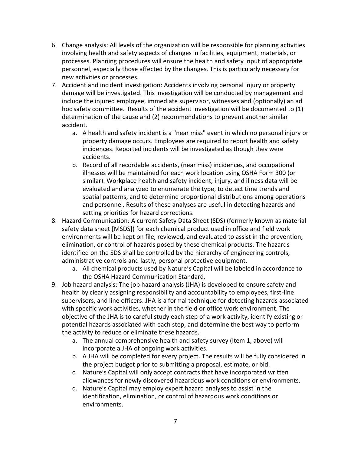- 6. Change analysis: All levels of the organization will be responsible for planning activities involving health and safety aspects of changes in facilities, equipment, materials, or processes. Planning procedures will ensure the health and safety input of appropriate personnel, especially those affected by the changes. This is particularly necessary for new activities or processes.
- 7. Accident and incident investigation: Accidents involving personal injury or property damage will be investigated. This investigation will be conducted by management and include the injured employee, immediate supervisor, witnesses and (optionally) an ad hoc safety committee. Results of the accident investigation will be documented to (1) determination of the cause and (2) recommendations to prevent another similar accident.
	- a. A health and safety incident is a "near miss" event in which no personal injury or property damage occurs. Employees are required to report health and safety incidences. Reported incidents will be investigated as though they were accidents.
	- b. Record of all recordable accidents, (near miss) incidences, and occupational illnesses will be maintained for each work location using OSHA Form 300 (or similar). Workplace health and safety incident, injury, and illness data will be evaluated and analyzed to enumerate the type, to detect time trends and spatial patterns, and to determine proportional distributions among operations and personnel. Results of these analyses are useful in detecting hazards and setting priorities for hazard corrections.
- 8. Hazard Communication: A current Safety Data Sheet (SDS) (formerly known as material safety data sheet [MSDS]) for each chemical product used in office and field work environments will be kept on file, reviewed, and evaluated to assist in the prevention, elimination, or control of hazards posed by these chemical products. The hazards identified on the SDS shall be controlled by the hierarchy of engineering controls, administrative controls and lastly, personal protective equipment.
	- a. All chemical products used by Nature's Capital will be labeled in accordance to the OSHA Hazard Communication Standard.
- 9. Job hazard analysis: The job hazard analysis (JHA) is developed to ensure safety and health by clearly assigning responsibility and accountability to employees, first-line supervisors, and line officers. JHA is a formal technique for detecting hazards associated with specific work activities, whether in the field or office work environment. The objective of the JHA is to careful study each step of a work activity, identify existing or potential hazards associated with each step, and determine the best way to perform the activity to reduce or eliminate these hazards.
	- a. The annual comprehensive health and safety survey (Item 1, above) will incorporate a JHA of ongoing work activities.
	- b. A JHA will be completed for every project. The results will be fully considered in the project budget prior to submitting a proposal, estimate, or bid.
	- c. Nature's Capital will only accept contracts that have incorporated written allowances for newly discovered hazardous work conditions or environments.
	- d. Nature's Capital may employ expert hazard analyses to assist in the identification, elimination, or control of hazardous work conditions or environments.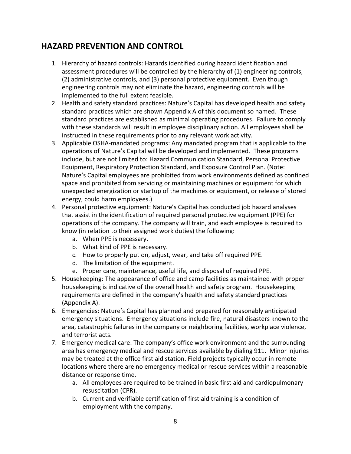## <span id="page-10-0"></span>**HAZARD PREVENTION AND CONTROL**

- 1. Hierarchy of hazard controls: Hazards identified during hazard identification and assessment procedures will be controlled by the hierarchy of (1) engineering controls, (2) administrative controls, and (3) personal protective equipment. Even though engineering controls may not eliminate the hazard, engineering controls will be implemented to the full extent feasible.
- 2. Health and safety standard practices: Nature's Capital has developed health and safety standard practices which are shown Appendix A of this document so named. These standard practices are established as minimal operating procedures. Failure to comply with these standards will result in employee disciplinary action. All employees shall be instructed in these requirements prior to any relevant work activity.
- 3. Applicable OSHA-mandated programs: Any mandated program that is applicable to the operations of Nature's Capital will be developed and implemented. These programs include, but are not limited to: Hazard Communication Standard, Personal Protective Equipment, Respiratory Protection Standard, and Exposure Control Plan. (Note: Nature's Capital employees are prohibited from work environments defined as confined space and prohibited from servicing or maintaining machines or equipment for which unexpected energization or startup of the machines or equipment, or release of stored energy, could harm employees.)
- 4. Personal protective equipment: Nature's Capital has conducted job hazard analyses that assist in the identification of required personal protective equipment (PPE) for operations of the company. The company will train, and each employee is required to know (in relation to their assigned work duties) the following:
	- a. When PPE is necessary.
	- b. What kind of PPE is necessary.
	- c. How to properly put on, adjust, wear, and take off required PPE.
	- d. The limitation of the equipment.
	- e. Proper care, maintenance, useful life, and disposal of required PPE.
- 5. Housekeeping: The appearance of office and camp facilities as maintained with proper housekeeping is indicative of the overall health and safety program. Housekeeping requirements are defined in the company's health and safety standard practices (Appendix A).
- 6. Emergencies: Nature's Capital has planned and prepared for reasonably anticipated emergency situations. Emergency situations include fire, natural disasters known to the area, catastrophic failures in the company or neighboring facilities, workplace violence, and terrorist acts.
- 7. Emergency medical care: The company's office work environment and the surrounding area has emergency medical and rescue services available by dialing 911. Minor injuries may be treated at the office first aid station. Field projects typically occur in remote locations where there are no emergency medical or rescue services within a reasonable distance or response time.
	- a. All employees are required to be trained in basic first aid and cardiopulmonary resuscitation (CPR).
	- b. Current and verifiable certification of first aid training is a condition of employment with the company.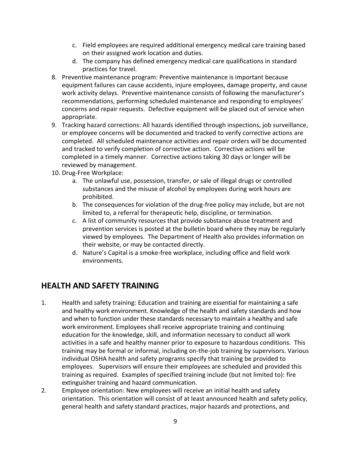- c. Field employees are required additional emergency medical care training based on their assigned work location and duties.
- d. The company has defined emergency medical care qualifications in standard practices for travel.
- 8. Preventive maintenance program: Preventive maintenance is important because equipment failures can cause accidents, injure employees, damage property, and cause work activity delays. Preventive maintenance consists of following the manufacturer's recommendations, performing scheduled maintenance and responding to employees' concerns and repair requests. Defective equipment will be placed out of service when appropriate.
- 9. Tracking hazard corrections: All hazards identified through inspections, job surveillance, or employee concerns will be documented and tracked to verify corrective actions are completed. All scheduled maintenance activities and repair orders will be documented and tracked to verify completion of corrective action. Corrective actions will be completed in a timely manner. Corrective actions taking 30 days or longer will be reviewed by management.
- 10. Drug-Free Workplace:
	- a. The unlawful use, possession, transfer, or sale of illegal drugs or controlled substances and the misuse of alcohol by employees during work hours are prohibited.
	- b. The consequences for violation of the drug-free policy may include, but are not limited to, a referral for therapeutic help, discipline, or termination.
	- c. A list of community resources that provide substance abuse treatment and prevention services is posted at the bulletin board where they may be regularly viewed by employees. The Department of Health also provides information on their website, or may be contacted directly.
	- d. Nature's Capital is a smoke-free workplace, including office and field work environments.

## <span id="page-11-0"></span>**HEALTH AND SAFETY TRAINING**

- 1. Health and safety training: Education and training are essential for maintaining a safe and healthy work environment. Knowledge of the health and safety standards and how and when to function under these standards necessary to maintain a healthy and safe work environment. Employees shall receive appropriate training and continuing education for the knowledge, skill, and information necessary to conduct all work activities in a safe and healthy manner prior to exposure to hazardous conditions. This training may be formal or informal, including on-the-job training by supervisors. Various individual OSHA health and safety programs specify that training be provided to employees. Supervisors will ensure their employees are scheduled and provided this training as required. Examples of specified training include (but not limited to): fire extinguisher training and hazard communication.
- 2. Employee orientation: New employees will receive an initial health and safety orientation. This orientation will consist of at least announced health and safety policy, general health and safety standard practices, major hazards and protections, and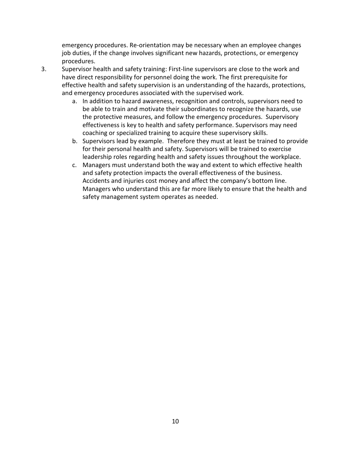emergency procedures. Re-orientation may be necessary when an employee changes job duties, if the change involves significant new hazards, protections, or emergency procedures.

- 3. Supervisor health and safety training: First-line supervisors are close to the work and have direct responsibility for personnel doing the work. The first prerequisite for effective health and safety supervision is an understanding of the hazards, protections, and emergency procedures associated with the supervised work.
	- a. In addition to hazard awareness, recognition and controls, supervisors need to be able to train and motivate their subordinates to recognize the hazards, use the protective measures, and follow the emergency procedures. Supervisory effectiveness is key to health and safety performance. Supervisors may need coaching or specialized training to acquire these supervisory skills.
	- b. Supervisors lead by example. Therefore they must at least be trained to provide for their personal health and safety. Supervisors will be trained to exercise leadership roles regarding health and safety issues throughout the workplace.
	- c. Managers must understand both the way and extent to which effective health and safety protection impacts the overall effectiveness of the business. Accidents and injuries cost money and affect the company's bottom line. Managers who understand this are far more likely to ensure that the health and safety management system operates as needed.